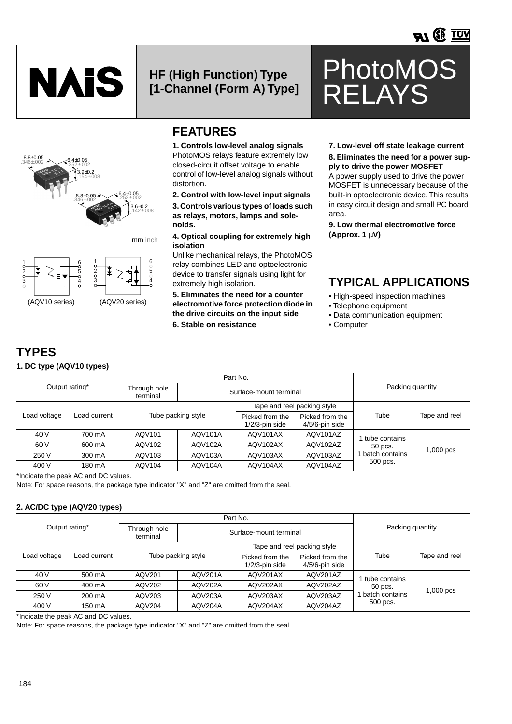

### **HF (High Function) Type [1-Channel (Form A) Type]**





(AQV10 series) (AQV20 series)

### **FEATURES**

**1. Controls low-level analog signals** PhotoMOS relays feature extremely low closed-circuit offset voltage to enable control of low-level analog signals without distortion.

**2. Control with low-level input signals 3. Controls various types of loads such as relays, motors, lamps and solenoids.**

**4. Optical coupling for extremely high isolation**

Unlike mechanical relays, the PhotoMOS relay combines LED and optoelectronic device to transfer signals using light for extremely high isolation.

**5. Eliminates the need for a counter electromotive force protection diode in the drive circuits on the input side 6. Stable on resistance**

**7. Low-level off state leakage current 8. Eliminates the need for a power supply to drive the power MOSFET**

PhotoMOS

RELAYS

A power supply used to drive the power MOSFET is unnecessary because of the built-in optoelectronic device. This results in easy circuit design and small PC board area.

**9. Low thermal electromotive force (Approx. 1** µ**V)**

### **TYPICAL APPLICATIONS**

- High-speed inspection machines
- Telephone equipment
- Data communication equipment
- Computer

#### **TYPES 1. DC type (AQV10 types)**

1 2 3

|              |                |                          | Part No.       |                                      |                                      |                |               |  |  |  |
|--------------|----------------|--------------------------|----------------|--------------------------------------|--------------------------------------|----------------|---------------|--|--|--|
|              | Output rating* | Through hole<br>terminal |                | Surface-mount terminal               | Packing quantity                     |                |               |  |  |  |
|              |                |                          |                |                                      | Tape and reel packing style          |                |               |  |  |  |
| Load voltage | Load current   | Tube packing style       |                | Picked from the<br>$1/2/3$ -pin side | Picked from the<br>$4/5/6$ -pin side | Tube           | Tape and reel |  |  |  |
| 40 V         | 700 mA         | AQV101                   | <b>AQV101A</b> | AQV101AX                             | AQV101AZ                             | tube contains  |               |  |  |  |
| 60 V         | 600 mA         | AQV102<br>AQV102A        |                | AQV102AX                             | AQV102AZ                             | 50 pcs.        | $1,000$ pcs   |  |  |  |
| 250 V        | 300 mA         | AQV103A<br>AQV103        |                | AQV103AX                             | AQV103AZ                             | batch contains |               |  |  |  |
| 400 V        | 180 mA         | AQV104                   | AQV104A        | AQV104AX                             | AQV104AZ                             | 500 pcs.       |               |  |  |  |

\*Indicate the peak AC and DC values.

Note: For space reasons, the package type indicator "X" and "Z" are omitted from the seal.

#### **2. AC/DC type (AQV20 types)**

|              |                |                          | Part No.               |                                      |                                      |                 |               |
|--------------|----------------|--------------------------|------------------------|--------------------------------------|--------------------------------------|-----------------|---------------|
|              | Output rating* | Through hole<br>terminal | Surface-mount terminal | Packing quantity                     |                                      |                 |               |
|              |                |                          |                        |                                      | Tape and reel packing style          |                 |               |
| Load voltage | Load current   | Tube packing style       |                        | Picked from the<br>$1/2/3$ -pin side | Picked from the<br>$4/5/6$ -pin side | Tube            | Tape and reel |
| 40 V         | 500 mA         | AQV201                   | AQV201A                |                                      | AQV201AZ                             | I tube contains | $1,000$ pcs   |
| 60 V         | 400 mA         | AQV202<br>AQV202A        |                        | AQV202AX                             | AQV202AZ                             | 50 pcs.         |               |
| 250 V        | 200 mA         | AQV203                   | <b>AQV203A</b>         |                                      | AQV203AZ                             | batch contains  |               |
| 400 V        | 150 mA         | AQV204                   | AQV204A                | AQV204AX                             | AQV204AZ                             | 500 pcs.        |               |

\*Indicate the peak AC and DC values.

Note: For space reasons, the package type indicator "X" and "Z" are omitted from the seal.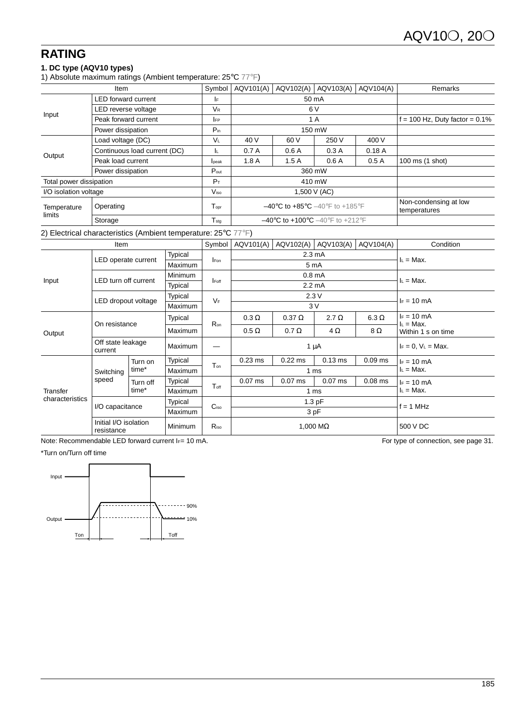### **RATING**

### **1. DC type (AQV10 types)**

1) Absolute maximum ratings (Ambient temperature: 25°C 77°F)

| Item                    |                              | Symbol           | AQV101(A) | AQV102(A)                                                               | AQV103(A)                             | AQV104(A)                        | Remarks         |
|-------------------------|------------------------------|------------------|-----------|-------------------------------------------------------------------------|---------------------------------------|----------------------------------|-----------------|
| Input                   | <b>LED</b> forward current   | I۴               |           | 50 mA                                                                   |                                       |                                  |                 |
|                         | LED reverse voltage          | V <sub>R</sub>   |           | 6 V                                                                     |                                       |                                  |                 |
|                         | Peak forward current         | <b>IFP</b>       |           | 1 A                                                                     |                                       | $f = 100$ Hz, Duty factor = 0.1% |                 |
|                         | Power dissipation            | $P_{in}$         |           | 150 mW                                                                  |                                       |                                  |                 |
|                         | Load voltage (DC)            | VL.              | 40 V      | 60 V                                                                    | 250 V                                 | 400 V                            |                 |
|                         | Continuous load current (DC) | ΙL.              | 0.7A      | 0.6A                                                                    | 0.3A                                  | 0.18A                            |                 |
| Output                  | Peak load current            | lpeak            | 1.8A      | 1.5A                                                                    | 0.6A                                  | 0.5A                             | 100 ms (1 shot) |
|                         | Power dissipation            | $P_{\text{out}}$ |           | 360 mW                                                                  |                                       |                                  |                 |
| Total power dissipation |                              | $P_T$            |           | 410 mW                                                                  |                                       |                                  |                 |
| I/O isolation voltage   |                              | V <sub>iso</sub> |           | 1,500 V (AC)                                                            |                                       |                                  |                 |
| Temperature<br>limits   | Operating                    | $T_{\rm obr}$    |           | $-40^{\circ}$ C to $+85^{\circ}$ C $-40^{\circ}$ F to $+185^{\circ}$ F  | Non-condensing at low<br>temperatures |                                  |                 |
|                         | Storage                      | $T_{\text{stg}}$ |           | $-40^{\circ}$ C to $+100^{\circ}$ C $-40^{\circ}$ F to $+212^{\circ}$ F |                                       |                                  |                 |
|                         |                              |                  |           |                                                                         |                                       |                                  |                 |

#### 2) Electrical characteristics (Ambient temperature: 25°C 77°F)

| Item            |                                     |                                       |                    |                          | AQV101(A)       | AQV102(A)        | AQV103(A)          | AQV104(A)    | Condition                           |
|-----------------|-------------------------------------|---------------------------------------|--------------------|--------------------------|-----------------|------------------|--------------------|--------------|-------------------------------------|
|                 | LED operate current                 |                                       | Typical<br>Maximum | <b>I</b> Fon             |                 | $2.3 \text{ mA}$ | $I_L = Max$ .      |              |                                     |
|                 |                                     |                                       |                    |                          |                 |                  | 5 mA               |              |                                     |
| Input           |                                     | <b>LED turn off current</b>           |                    | Minimum<br><b>I</b> Foff |                 |                  | 0.8 <sub>m</sub> A |              | $I_L = Max$ .                       |
|                 |                                     |                                       | Typical            |                          |                 |                  | $2.2 \text{ mA}$   |              |                                     |
|                 |                                     |                                       | Typical            |                          |                 |                  | 2.3V               |              |                                     |
|                 | LED dropout voltage                 |                                       | Maximum            | $V_F$                    | 3V              |                  |                    |              | $I_F = 10$ mA                       |
|                 | On resistance                       |                                       | Typical            | Ron                      | $0.3 \Omega$    | $0.37 \Omega$    | 2.7 $\Omega$       | $6.3 \Omega$ | $I_F = 10$ mA                       |
| Output          |                                     |                                       | Maximum            |                          | $0.5 \Omega$    | $0.7 \Omega$     | $4\Omega$          | 8Ω           | $I_L = Max$ .<br>Within 1 s on time |
|                 | Off state leakage<br>current        |                                       | Maximum            |                          | $1 \mu A$       |                  |                    |              | $I_F = 0$ , $V_L = Max$ .           |
|                 | Switching                           | Turn on<br>time*                      | Typical            |                          | $0.23$ ms       | $0.22$ ms        | $0.13$ ms          | $0.09$ ms    | $I_F = 10$ mA                       |
|                 |                                     |                                       | Maximum            | T <sub>on</sub>          | 1 <sub>ms</sub> |                  |                    |              | $I_L = Max$ .                       |
|                 | speed                               | Turn off<br>time*                     | Typical            | $T_{\text{off}}$         | $0.07$ ms       | $0.07$ ms        | $0.07$ ms          | $0.08$ ms    | $F = 10 \text{ mA}$                 |
| Transfer        |                                     |                                       | Maximum            |                          |                 | 1 ms             | $I_L = Max$ .      |              |                                     |
| characteristics |                                     | Typical<br>I/O capacitance<br>Maximum |                    | C <sub>iso</sub>         | $1.3$ pF        |                  |                    |              |                                     |
|                 |                                     |                                       |                    |                          | 3 pF            |                  |                    |              | $f = 1$ MHz                         |
|                 | Initial I/O isolation<br>resistance |                                       | Minimum            | $R_{iso}$                | 1,000 $M\Omega$ |                  |                    | 500 V DC     |                                     |

Note: Recommendable LED forward current IF= 10 mA. The Second of the Second Connection, see page 31.

#### \*Turn on/Turn off time

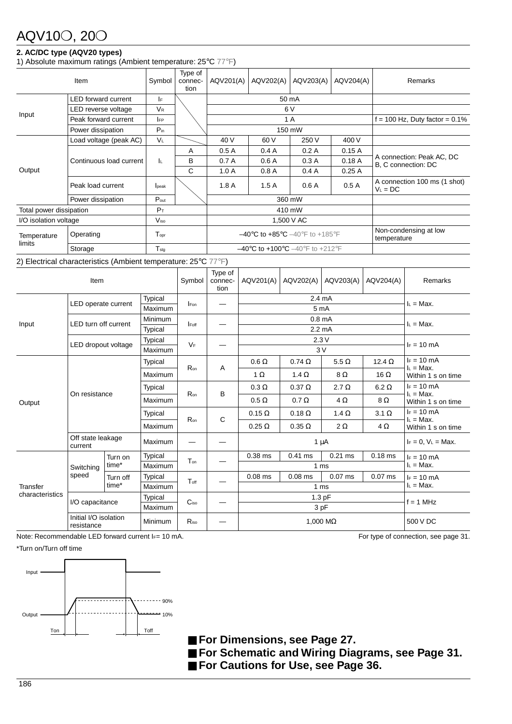## AQV10❍, 20❍

### **2. AC/DC type (AQV20 types)**

1) Absolute maximum ratings (Ambient temperature: 25°C 77°F)

| Item                    |                                                                | Symbol               | Type of<br>connec-<br>tion                                              | AQV201(A) | AQV202(A)                                                              | AQV203(A)                            | AQV204(A) | Remarks                                          |
|-------------------------|----------------------------------------------------------------|----------------------|-------------------------------------------------------------------------|-----------|------------------------------------------------------------------------|--------------------------------------|-----------|--------------------------------------------------|
|                         | <b>LED</b> forward current                                     | IF.                  |                                                                         |           | 50 mA                                                                  |                                      |           |                                                  |
|                         | LED reverse voltage                                            | <b>V<sub>R</sub></b> |                                                                         |           | 6 V                                                                    |                                      |           |                                                  |
| Input                   | Peak forward current                                           | <b>IFP</b>           |                                                                         |           | 1 A                                                                    | $f = 100$ Hz, Duty factor = 0.1%     |           |                                                  |
|                         | Power dissipation                                              | $P_{in}$             |                                                                         |           | 150 mW                                                                 |                                      |           |                                                  |
|                         | Load voltage (peak AC)                                         | <b>VL</b>            |                                                                         | 40 V      | 60 V                                                                   | 250 V                                | 400 V     |                                                  |
|                         | Continuous load current                                        |                      | A                                                                       | 0.5A      | 0.4A                                                                   | 0.2A                                 | 0.15A     |                                                  |
|                         |                                                                | ΙL.                  | B                                                                       | 0.7A      | 0.6A                                                                   | 0.3A                                 | 0.18A     | A connection: Peak AC, DC<br>B, C connection: DC |
| Output                  |                                                                |                      | C                                                                       | 1.0A      | 0.8A                                                                   | 0.4A                                 | 0.25A     |                                                  |
|                         | Peak load current                                              | lpeak                |                                                                         | 1.8A      | 1.5A                                                                   | 0.6A                                 | 0.5A      | A connection 100 ms (1 shot)<br>$V_L = DC$       |
|                         | Power dissipation                                              | $P_{\text{out}}$     |                                                                         | 360 mW    |                                                                        |                                      |           |                                                  |
| Total power dissipation |                                                                | $P_T$                |                                                                         |           | 410 mW                                                                 |                                      |           |                                                  |
| I/O isolation voltage   |                                                                | V <sub>iso</sub>     |                                                                         |           | 1,500 V AC                                                             |                                      |           |                                                  |
| Temperature<br>limits   | Operating                                                      | Topr                 |                                                                         |           | $-40^{\circ}$ C to $+85^{\circ}$ C $-40^{\circ}$ F to $+185^{\circ}$ F | Non-condensing at low<br>temperature |           |                                                  |
|                         | Storage                                                        | $T_{\text{stg}}$     | $-40^{\circ}$ C to $+100^{\circ}$ C $-40^{\circ}$ F to $+212^{\circ}$ F |           |                                                                        |                                      |           |                                                  |
|                         | 2) Electrical characteristics (Ambient temperature: 25°C 77°F) |                      |                                                                         |           |                                                                        |                                      |           |                                                  |

| Item                        |                                       |                   |                           |                  | Type of<br>connec-<br>tion | AQV201(A)     | AQV202(A)                           | AQV203(A)       | AQV204(A)     | Remarks                                                                                                      |  |
|-----------------------------|---------------------------------------|-------------------|---------------------------|------------------|----------------------------|---------------|-------------------------------------|-----------------|---------------|--------------------------------------------------------------------------------------------------------------|--|
|                             | <b>Typical</b><br>LED operate current |                   | Maximum                   | <b>I</b> Fon     |                            |               | $I_L = Max$ .                       |                 |               |                                                                                                              |  |
|                             |                                       |                   | Minimum                   |                  |                            |               |                                     |                 |               |                                                                                                              |  |
| Input                       | <b>LED turn off current</b>           |                   | <b>Typical</b>            | <b>I</b> Foff    |                            |               | $2.2 \text{ mA}$                    |                 | $I_L = Max$ . |                                                                                                              |  |
|                             |                                       |                   | Typical                   | $V_F$            |                            |               |                                     | 2.3V            |               | $I_F = 10$ mA                                                                                                |  |
|                             | LED dropout voltage                   |                   | Maximum                   |                  |                            |               | 3V                                  |                 |               |                                                                                                              |  |
|                             |                                       | <b>Typical</b>    |                           |                  | Α                          | $0.6 \Omega$  | $0.74\ \Omega$                      | $5.5 \Omega$    | 12.4 $\Omega$ | $I_F = 10$ mA<br>$I_L = Max$ .<br>Within 1 s on time                                                         |  |
|                             | On resistance                         |                   | Maximum                   | R <sub>on</sub>  |                            | $1 \Omega$    | 1.4 $\Omega$                        | $8\,\Omega$     | 16 $\Omega$   |                                                                                                              |  |
|                             |                                       |                   | Typical                   | Ron              | B                          | $0.3 \Omega$  | $0.37 \Omega$                       | $2.7 \Omega$    | $6.2 \Omega$  | $I_F = 10$ mA<br>$I_L = Max$ .<br>Within 1 s on time<br>$I_F = 10$ mA<br>$I_L = Max$ .<br>Within 1 s on time |  |
| Output                      |                                       |                   | Maximum                   |                  |                            | $0.5 \Omega$  | $0.7 \Omega$<br>$4\Omega$           |                 | 8Ω            |                                                                                                              |  |
|                             |                                       |                   | Typical                   | Ron              | C                          | $0.15 \Omega$ | $0.18 \Omega$                       | 1.4 $\Omega$    | $3.1 \Omega$  |                                                                                                              |  |
|                             |                                       |                   | Maximum                   |                  |                            | $0.25 \Omega$ | $0.35 \Omega$                       | $2\Omega$       | $4\Omega$     |                                                                                                              |  |
|                             | Off state leakage<br>current          |                   | Maximum                   |                  |                            | $1 \mu A$     |                                     |                 |               | $I_F = 0$ , $V_L = Max$ .                                                                                    |  |
|                             |                                       | Turn on           | Typical                   | Ton              |                            | $0.38$ ms     | $0.41$ ms<br>$0.21$ ms              |                 | $0.18$ ms     | $F = 10 \text{ mA}$                                                                                          |  |
|                             | Switching                             | time*             | Maximum                   |                  |                            |               |                                     | 1 <sub>ms</sub> |               | $I_L = Max$ .                                                                                                |  |
|                             | speed                                 | Turn off<br>time* | Typical                   | Toff             |                            | $0.08$ ms     | $0.07$ ms<br>$0.08$ ms<br>$0.07$ ms |                 | $I_F = 10$ mA |                                                                                                              |  |
| Transfer<br>characteristics |                                       |                   | Maximum                   |                  |                            |               |                                     | 1 <sub>ms</sub> |               | $I_L = Max$ .                                                                                                |  |
|                             | I/O capacitance                       |                   | <b>Typical</b><br>Maximum | C <sub>iso</sub> |                            |               | 1.3 pF<br>3 pF                      |                 |               |                                                                                                              |  |
|                             | Initial I/O isolation<br>resistance   |                   | Minimum                   | Riso             |                            |               | 500 V DC                            |                 |               |                                                                                                              |  |

Note: Recommendable LED forward current IF= 10 mA. For type of connection, see page 31.

\*Turn on/Turn off time



■ For Dimensions, see Page 27.

- ■ [For Schematic and Wiring Diagrams, see Page 31.](http://ctlgserv.mew.co.jp/acg/cgi/semi_eng/semi_eng_pdflink.cgi?l=pmosdim)
- ■ [For Cautions for Use, see Page 36.](http://ctlgserv.mew.co.jp/acg/cgi/semi_eng/semi_eng_pdflink.cgi?l=pmoscau)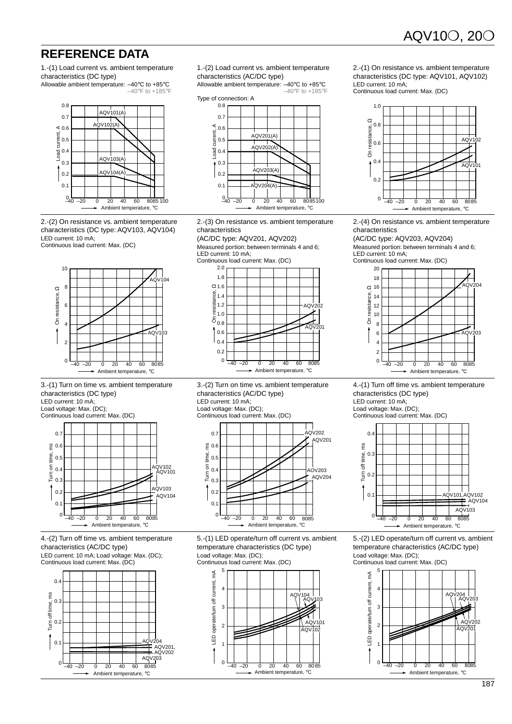### **REFERENCE DATA**

1.-(1) Load current vs. ambient temperature characteristics (DC type)





2.-(2) On resistance vs. ambient temperature characteristics (DC type: AQV103, AQV104) LED current: 10 mA;

Continuous load current: Max. (DC)



3.-(1) Turn on time vs. ambient temperature characteristics (DC type)

LED current: 10 mA;

Load voltage: Max. (DC); Continuous load current: Max. (DC)



4.-(2) Turn off time vs. ambient temperature characteristics (AC/DC type) LED current: 10 mA; Load voltage: Max. (DC);





1.-(2) Load current vs. ambient temperature characteristics (AC/DC type)

Allowable ambient temperature: –40°C to +85°C



2.-(3) On resistance vs. ambient temperature characteristics

(AC/DC type: AQV201, AQV202) Measured portion: between terminals 4 and 6; LED current: 10 mA;



3.-(2) Turn on time vs. ambient temperature characteristics (AC/DC type) LED current: 10 mA; Load voltage: Max. (DC); Continuous load current: Max. (DC)



5.-(1) LED operate/turn off current vs. ambient temperature characteristics (DC type) Load voltage: Max. (DC); Continuous load current: Max. (DC)



2.-(1) On resistance vs. ambient temperature characteristics (DC type: AQV101, AQV102) LED current: 10 mA;

Continuous load current: Max. (DC)



2.-(4) On resistance vs. ambient temperature characteristics

(AC/DC type: AQV203, AQV204) Measured portion: between terminals 4 and 6; LED current: 10 mA;

Continuous load current: Max. (DC)



4.-(1) Turn off time vs. ambient temperature characteristics (DC type) LED current: 10 mA; Load voltage: Max. (DC);

Continuous load current: Max. (DC)



5.-(2) LED operate/turn off current vs. ambient temperature characteristics (AC/DC type) Load voltage: Max. (DC); Continuous load current: Max. (DC)